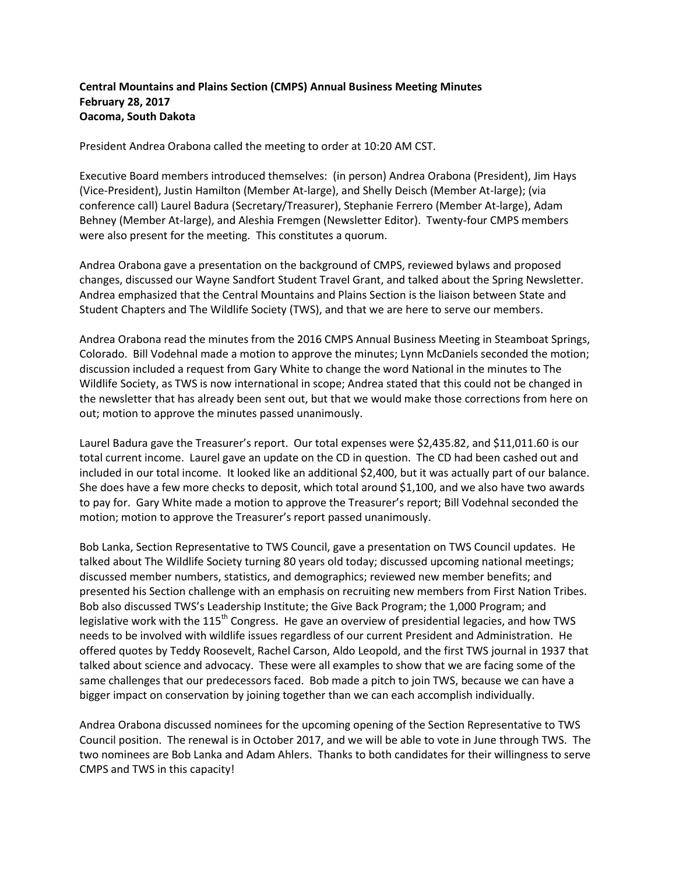## **Central Mountains and Plains Section (CMPS) Annual Business Meeting Minutes February 28, 2017 Oacoma, South Dakota**

President Andrea Orabona called the meeting to order at 10:20 AM CST.

Executive Board members introduced themselves: (in person) Andrea Orabona (President), Jim Hays (Vice-President), Justin Hamilton (Member At-large), and Shelly Deisch (Member At-large); (via conference call) Laurel Badura (Secretary/Treasurer), Stephanie Ferrero (Member At-large), Adam Behney (Member At-large), and Aleshia Fremgen (Newsletter Editor). Twenty-four CMPS members were also present for the meeting. This constitutes a quorum.

Andrea Orabona gave a presentation on the background of CMPS, reviewed bylaws and proposed changes, discussed our Wayne Sandfort Student Travel Grant, and talked about the Spring Newsletter. Andrea emphasized that the Central Mountains and Plains Section is the liaison between State and Student Chapters and The Wildlife Society (TWS), and that we are here to serve our members.

Andrea Orabona read the minutes from the 2016 CMPS Annual Business Meeting in Steamboat Springs, Colorado. Bill Vodehnal made a motion to approve the minutes; Lynn McDaniels seconded the motion; discussion included a request from Gary White to change the word National in the minutes to The Wildlife Society, as TWS is now international in scope; Andrea stated that this could not be changed in the newsletter that has already been sent out, but that we would make those corrections from here on out; motion to approve the minutes passed unanimously.

Laurel Badura gave the Treasurer's report. Our total expenses were \$2,435.82, and \$11,011.60 is our total current income. Laurel gave an update on the CD in question. The CD had been cashed out and included in our total income. It looked like an additional \$2,400, but it was actually part of our balance. She does have a few more checks to deposit, which total around \$1,100, and we also have two awards to pay for. Gary White made a motion to approve the Treasurer's report; Bill Vodehnal seconded the motion; motion to approve the Treasurer's report passed unanimously.

Bob Lanka, Section Representative to TWS Council, gave a presentation on TWS Council updates. He talked about The Wildlife Society turning 80 years old today; discussed upcoming national meetings; discussed member numbers, statistics, and demographics; reviewed new member benefits; and presented his Section challenge with an emphasis on recruiting new members from First Nation Tribes. Bob also discussed TWS's Leadership Institute; the Give Back Program; the 1,000 Program; and legislative work with the 115<sup>th</sup> Congress. He gave an overview of presidential legacies, and how TWS needs to be involved with wildlife issues regardless of our current President and Administration. He offered quotes by Teddy Roosevelt, Rachel Carson, Aldo Leopold, and the first TWS journal in 1937 that talked about science and advocacy. These were all examples to show that we are facing some of the same challenges that our predecessors faced. Bob made a pitch to join TWS, because we can have a bigger impact on conservation by joining together than we can each accomplish individually.

Andrea Orabona discussed nominees for the upcoming opening of the Section Representative to TWS Council position. The renewal is in October 2017, and we will be able to vote in June through TWS. The two nominees are Bob Lanka and Adam Ahlers. Thanks to both candidates for their willingness to serve CMPS and TWS in this capacity!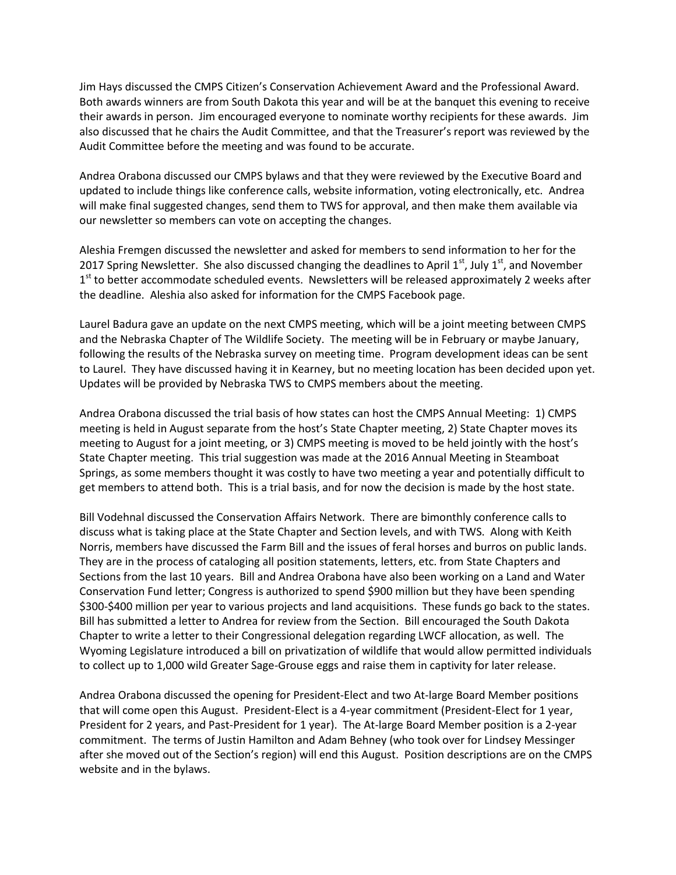Jim Hays discussed the CMPS Citizen's Conservation Achievement Award and the Professional Award. Both awards winners are from South Dakota this year and will be at the banquet this evening to receive their awards in person. Jim encouraged everyone to nominate worthy recipients for these awards. Jim also discussed that he chairs the Audit Committee, and that the Treasurer's report was reviewed by the Audit Committee before the meeting and was found to be accurate.

Andrea Orabona discussed our CMPS bylaws and that they were reviewed by the Executive Board and updated to include things like conference calls, website information, voting electronically, etc. Andrea will make final suggested changes, send them to TWS for approval, and then make them available via our newsletter so members can vote on accepting the changes.

Aleshia Fremgen discussed the newsletter and asked for members to send information to her for the 2017 Spring Newsletter. She also discussed changing the deadlines to April  $1<sup>st</sup>$ , July  $1<sup>st</sup>$ , and November 1<sup>st</sup> to better accommodate scheduled events. Newsletters will be released approximately 2 weeks after the deadline. Aleshia also asked for information for the CMPS Facebook page.

Laurel Badura gave an update on the next CMPS meeting, which will be a joint meeting between CMPS and the Nebraska Chapter of The Wildlife Society. The meeting will be in February or maybe January, following the results of the Nebraska survey on meeting time. Program development ideas can be sent to Laurel. They have discussed having it in Kearney, but no meeting location has been decided upon yet. Updates will be provided by Nebraska TWS to CMPS members about the meeting.

Andrea Orabona discussed the trial basis of how states can host the CMPS Annual Meeting: 1) CMPS meeting is held in August separate from the host's State Chapter meeting, 2) State Chapter moves its meeting to August for a joint meeting, or 3) CMPS meeting is moved to be held jointly with the host's State Chapter meeting. This trial suggestion was made at the 2016 Annual Meeting in Steamboat Springs, as some members thought it was costly to have two meeting a year and potentially difficult to get members to attend both. This is a trial basis, and for now the decision is made by the host state.

Bill Vodehnal discussed the Conservation Affairs Network. There are bimonthly conference calls to discuss what is taking place at the State Chapter and Section levels, and with TWS. Along with Keith Norris, members have discussed the Farm Bill and the issues of feral horses and burros on public lands. They are in the process of cataloging all position statements, letters, etc. from State Chapters and Sections from the last 10 years. Bill and Andrea Orabona have also been working on a Land and Water Conservation Fund letter; Congress is authorized to spend \$900 million but they have been spending \$300-\$400 million per year to various projects and land acquisitions. These funds go back to the states. Bill has submitted a letter to Andrea for review from the Section. Bill encouraged the South Dakota Chapter to write a letter to their Congressional delegation regarding LWCF allocation, as well. The Wyoming Legislature introduced a bill on privatization of wildlife that would allow permitted individuals to collect up to 1,000 wild Greater Sage-Grouse eggs and raise them in captivity for later release.

Andrea Orabona discussed the opening for President-Elect and two At-large Board Member positions that will come open this August. President-Elect is a 4-year commitment (President-Elect for 1 year, President for 2 years, and Past-President for 1 year). The At-large Board Member position is a 2-year commitment. The terms of Justin Hamilton and Adam Behney (who took over for Lindsey Messinger after she moved out of the Section's region) will end this August. Position descriptions are on the CMPS website and in the bylaws.